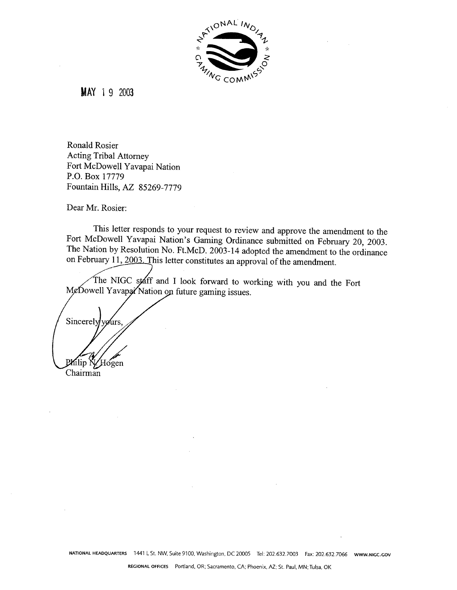

**MAY** 1 9 2003

Ronald Rosier Acting Tribal Attorney Fort McDowell Yavapai Nation P.O. Box 17779 Fountain Hills, **AZ** 85269-7779

Dear Mr. Rosier:

This letter responds to your request to review and approve the amendment to the Fort McDowell Yavapai Nation's Gaming Ordinance submitted on February 20, 2003. The Nation by Resolution No. Ft.McD. 2003-14 adopted the amendment to the ordinance on February 11, 2003. This letter constitutes an approval of the amendment.

The NIGC staff and I look forward to working with you and the Fort MeDowell Yavapa Nation on future gaming issues.

Sincerely yours, Philip N/Hogen<br>Chairman Kilip N

**NATIONAL HEADQUARTERS** 1441 L St. NW, Suite 9100, Washington. DC 20005 Tel: 202.632.7003 Fax: 202.632.7066 **WWW.NlGC.GOV**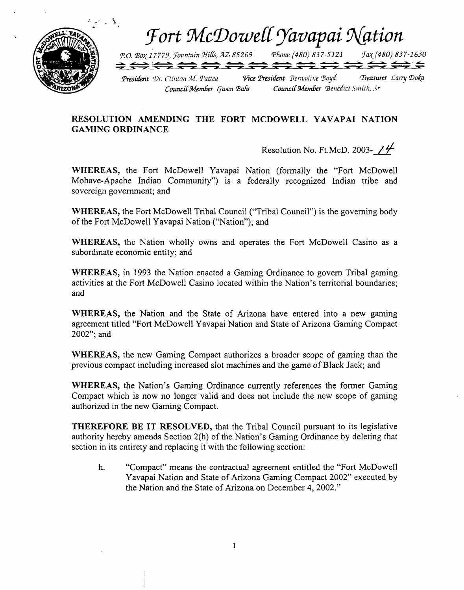

## RESOLUTION AMENDING THE FORT MCDOWELL YAVAPAI NATION **GAMING ORDINANCE**

Resolution No. Ft.McD. 2003- $\frac{\gamma}{4}$ 

**WHEREAS,** the Fort McDowell Yavapai Nation (formally the "Fort McDowell Mohave-Apache Indian Community") is a federally recognized Indian tribe and sovereign government; and

**WHEREAS,** the Fort McDowell Tribal Council ("Tribal Council") is the governing body of the Fort McDowell Yavapai Nation ("Nation"); and

**WHEREAS,** the Nation wholly owns and operates the Fort McDowell Casino as a subordinate economic entity; and

**WHEREAS,** in **1993** the Nation enacted a Gaming Ordinance to govern Tribal gaming activities at the Fort McDowell Casino located within the Nation's temtorial boundaries; and

**WHEREAS,** the Nation and the State of Arizona have entered into a new gaming agreement titled "Fort McDowell Yavapai Nation and State of Arizona Gaming Compact 2002"; and

**WHEREAS,** the new Gaming Compact authorizes a broader scope of gaming than the previous compact including increased slot machines and the game of Black Jack; and

**WHEREAS,** the Nation's Gaming Ordinance currently references the former Gaming Compact which is now no longer valid and does not include the new scope of gaming authorized in the new Gaming Compact.

**THEREFORE BE IT RESOLVED,** that the Tribal Council pursuant to its legislative authority hereby amends Section 2(h) of the Nation's Gaming Ordinance by deleting that section in its entirety and replacing it with the following section:

h. "Compact" means the contractual agreement entitled the "Fort McDowell Yavapai Nation and State of Arizona Gaming Compact 2002" executed by the Nation and the State of Arizona on December **4,** 2002."